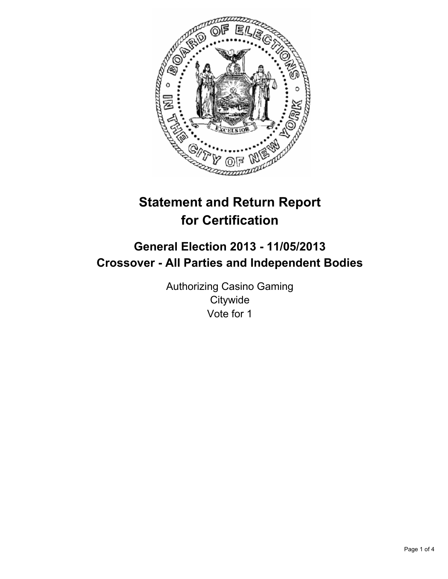

# **Statement and Return Report for Certification**

## **General Election 2013 - 11/05/2013 Crossover - All Parties and Independent Bodies**

Authorizing Casino Gaming **Citywide** Vote for 1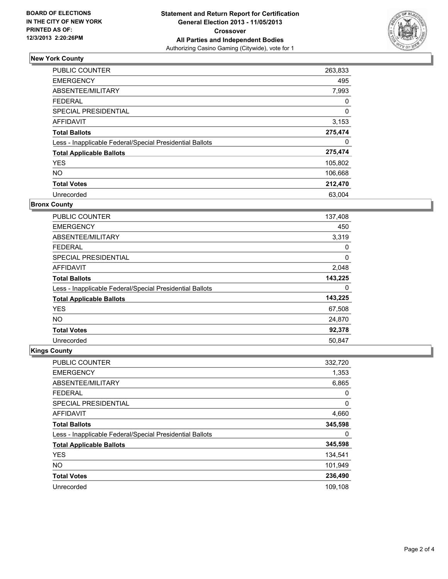

## **New York County**

| <b>PUBLIC COUNTER</b>                                    | 263,833     |
|----------------------------------------------------------|-------------|
| <b>EMERGENCY</b>                                         | 495         |
| ABSENTEE/MILITARY                                        | 7,993       |
| FEDERAL                                                  | 0           |
| <b>SPECIAL PRESIDENTIAL</b>                              | $\mathbf 0$ |
| <b>AFFIDAVIT</b>                                         | 3,153       |
| <b>Total Ballots</b>                                     | 275,474     |
| Less - Inapplicable Federal/Special Presidential Ballots | 0           |
| <b>Total Applicable Ballots</b>                          | 275,474     |
| <b>YES</b>                                               | 105,802     |
| <b>NO</b>                                                | 106,668     |
| <b>Total Votes</b>                                       | 212,470     |
| Unrecorded                                               | 63,004      |

#### **Bronx County**

| <b>PUBLIC COUNTER</b>                                    | 137,408 |
|----------------------------------------------------------|---------|
| <b>EMERGENCY</b>                                         | 450     |
| ABSENTEE/MILITARY                                        | 3,319   |
| <b>FEDERAL</b>                                           | 0       |
| SPECIAL PRESIDENTIAL                                     | 0       |
| AFFIDAVIT                                                | 2,048   |
| <b>Total Ballots</b>                                     | 143,225 |
| Less - Inapplicable Federal/Special Presidential Ballots | 0       |
| <b>Total Applicable Ballots</b>                          | 143,225 |
| <b>YES</b>                                               | 67,508  |
| <b>NO</b>                                                | 24,870  |
| <b>Total Votes</b>                                       | 92,378  |
| Unrecorded                                               | 50,847  |

## **Kings County**

| <b>PUBLIC COUNTER</b>                                    | 332,720 |
|----------------------------------------------------------|---------|
| <b>EMERGENCY</b>                                         | 1,353   |
| ABSENTEE/MILITARY                                        | 6,865   |
| <b>FEDERAL</b>                                           | 0       |
| SPECIAL PRESIDENTIAL                                     | 0       |
| AFFIDAVIT                                                | 4,660   |
| <b>Total Ballots</b>                                     | 345,598 |
| Less - Inapplicable Federal/Special Presidential Ballots | 0       |
| <b>Total Applicable Ballots</b>                          | 345,598 |
| <b>YES</b>                                               | 134,541 |
| <b>NO</b>                                                | 101,949 |
| <b>Total Votes</b>                                       | 236,490 |
| Unrecorded                                               | 109.108 |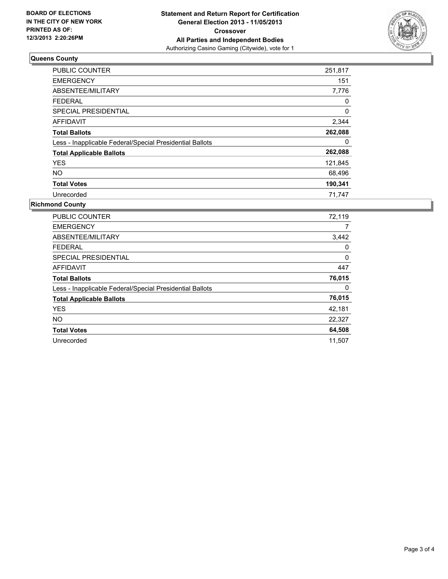

#### **Queens County**

| <b>PUBLIC COUNTER</b>                                    | 251,817 |
|----------------------------------------------------------|---------|
| <b>EMERGENCY</b>                                         | 151     |
| ABSENTEE/MILITARY                                        | 7,776   |
| <b>FEDERAL</b>                                           | 0       |
| <b>SPECIAL PRESIDENTIAL</b>                              | 0       |
| <b>AFFIDAVIT</b>                                         | 2,344   |
| <b>Total Ballots</b>                                     | 262,088 |
| Less - Inapplicable Federal/Special Presidential Ballots | 0       |
| <b>Total Applicable Ballots</b>                          | 262,088 |
| <b>YES</b>                                               | 121,845 |
| NO.                                                      | 68,496  |
| <b>Total Votes</b>                                       | 190,341 |
| Unrecorded                                               | 71,747  |

### **Richmond County**

| <b>PUBLIC COUNTER</b>                                    | 72,119 |
|----------------------------------------------------------|--------|
| <b>EMERGENCY</b>                                         | 7      |
| ABSENTEE/MILITARY                                        | 3,442  |
| <b>FEDERAL</b>                                           | 0      |
| SPECIAL PRESIDENTIAL                                     | 0      |
| <b>AFFIDAVIT</b>                                         | 447    |
| <b>Total Ballots</b>                                     | 76,015 |
| Less - Inapplicable Federal/Special Presidential Ballots | 0      |
| <b>Total Applicable Ballots</b>                          | 76,015 |
| <b>YES</b>                                               | 42,181 |
| <b>NO</b>                                                | 22,327 |
| <b>Total Votes</b>                                       | 64,508 |
| Unrecorded                                               | 11.507 |